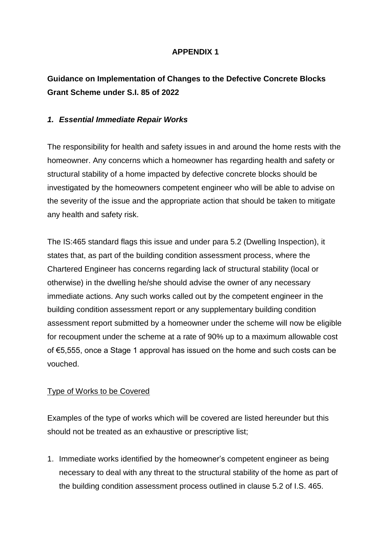# **APPENDIX 1**

# **Guidance on Implementation of Changes to the Defective Concrete Blocks Grant Scheme under S.I. 85 of 2022**

#### *1. Essential Immediate Repair Works*

The responsibility for health and safety issues in and around the home rests with the homeowner. Any concerns which a homeowner has regarding health and safety or structural stability of a home impacted by defective concrete blocks should be investigated by the homeowners competent engineer who will be able to advise on the severity of the issue and the appropriate action that should be taken to mitigate any health and safety risk.

The IS:465 standard flags this issue and under para 5.2 (Dwelling Inspection), it states that, as part of the building condition assessment process, where the Chartered Engineer has concerns regarding lack of structural stability (local or otherwise) in the dwelling he/she should advise the owner of any necessary immediate actions. Any such works called out by the competent engineer in the building condition assessment report or any supplementary building condition assessment report submitted by a homeowner under the scheme will now be eligible for recoupment under the scheme at a rate of 90% up to a maximum allowable cost of €5,555, once a Stage 1 approval has issued on the home and such costs can be vouched.

### Type of Works to be Covered

Examples of the type of works which will be covered are listed hereunder but this should not be treated as an exhaustive or prescriptive list;

1. Immediate works identified by the homeowner's competent engineer as being necessary to deal with any threat to the structural stability of the home as part of the building condition assessment process outlined in clause 5.2 of I.S. 465.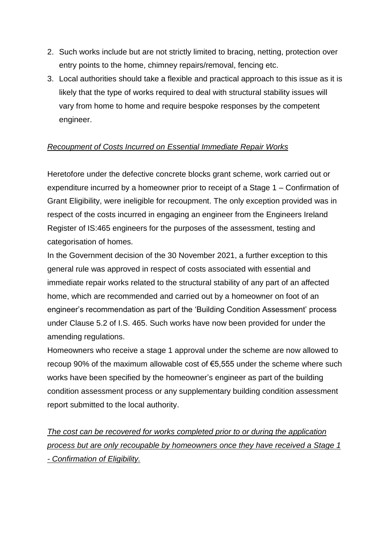- 2. Such works include but are not strictly limited to bracing, netting, protection over entry points to the home, chimney repairs/removal, fencing etc.
- 3. Local authorities should take a flexible and practical approach to this issue as it is likely that the type of works required to deal with structural stability issues will vary from home to home and require bespoke responses by the competent engineer.

## *Recoupment of Costs Incurred on Essential Immediate Repair Works*

Heretofore under the defective concrete blocks grant scheme, work carried out or expenditure incurred by a homeowner prior to receipt of a Stage 1 – Confirmation of Grant Eligibility, were ineligible for recoupment. The only exception provided was in respect of the costs incurred in engaging an engineer from the Engineers Ireland Register of IS:465 engineers for the purposes of the assessment, testing and categorisation of homes.

In the Government decision of the 30 November 2021, a further exception to this general rule was approved in respect of costs associated with essential and immediate repair works related to the structural stability of any part of an affected home, which are recommended and carried out by a homeowner on foot of an engineer's recommendation as part of the 'Building Condition Assessment' process under Clause 5.2 of I.S. 465. Such works have now been provided for under the amending regulations.

Homeowners who receive a stage 1 approval under the scheme are now allowed to recoup 90% of the maximum allowable cost of €5,555 under the scheme where such works have been specified by the homeowner's engineer as part of the building condition assessment process or any supplementary building condition assessment report submitted to the local authority.

*The cost can be recovered for works completed prior to or during the application process but are only recoupable by homeowners once they have received a Stage 1 - Confirmation of Eligibility.*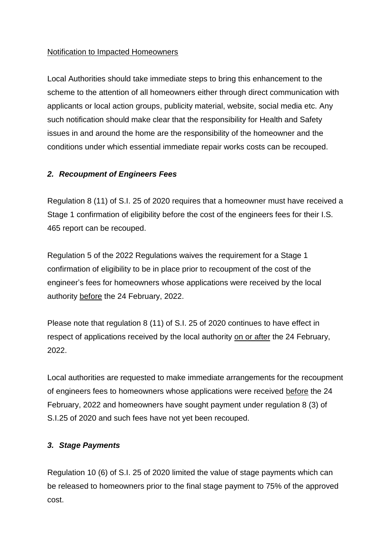#### Notification to Impacted Homeowners

Local Authorities should take immediate steps to bring this enhancement to the scheme to the attention of all homeowners either through direct communication with applicants or local action groups, publicity material, website, social media etc. Any such notification should make clear that the responsibility for Health and Safety issues in and around the home are the responsibility of the homeowner and the conditions under which essential immediate repair works costs can be recouped.

## *2. Recoupment of Engineers Fees*

Regulation 8 (11) of S.I. 25 of 2020 requires that a homeowner must have received a Stage 1 confirmation of eligibility before the cost of the engineers fees for their I.S. 465 report can be recouped.

Regulation 5 of the 2022 Regulations waives the requirement for a Stage 1 confirmation of eligibility to be in place prior to recoupment of the cost of the engineer's fees for homeowners whose applications were received by the local authority before the 24 February, 2022.

Please note that regulation 8 (11) of S.I. 25 of 2020 continues to have effect in respect of applications received by the local authority on or after the 24 February, 2022.

Local authorities are requested to make immediate arrangements for the recoupment of engineers fees to homeowners whose applications were received before the 24 February, 2022 and homeowners have sought payment under regulation 8 (3) of S.I.25 of 2020 and such fees have not yet been recouped.

### *3. Stage Payments*

Regulation 10 (6) of S.I. 25 of 2020 limited the value of stage payments which can be released to homeowners prior to the final stage payment to 75% of the approved cost.